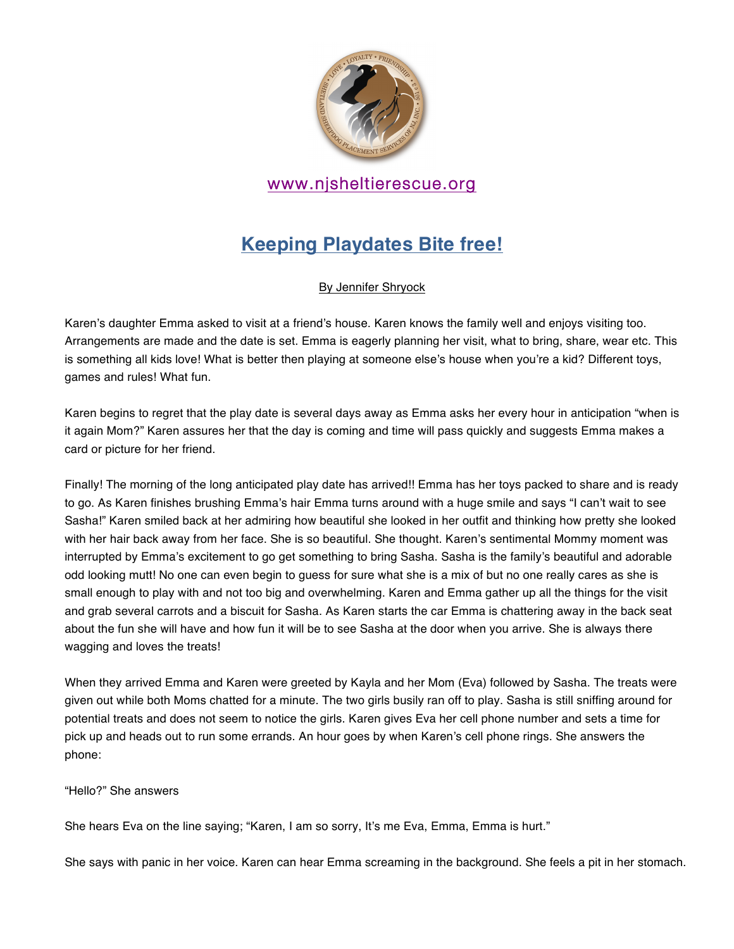

# **Keeping Playdates Bite free!**

#### By Jennifer Shryock

Karen's daughter Emma asked to visit at a friend's house. Karen knows the family well and enjoys visiting too. Arrangements are made and the date is set. Emma is eagerly planning her visit, what to bring, share, wear etc. This is something all kids love! What is better then playing at someone else's house when you're a kid? Different toys, games and rules! What fun.

Karen begins to regret that the play date is several days away as Emma asks her every hour in anticipation "when is it again Mom?" Karen assures her that the day is coming and time will pass quickly and suggests Emma makes a card or picture for her friend.

Finally! The morning of the long anticipated play date has arrived!! Emma has her toys packed to share and is ready to go. As Karen finishes brushing Emma's hair Emma turns around with a huge smile and says "I can't wait to see Sasha!" Karen smiled back at her admiring how beautiful she looked in her outfit and thinking how pretty she looked with her hair back away from her face. She is so beautiful. She thought. Karen's sentimental Mommy moment was interrupted by Emma's excitement to go get something to bring Sasha. Sasha is the family's beautiful and adorable odd looking mutt! No one can even begin to guess for sure what she is a mix of but no one really cares as she is small enough to play with and not too big and overwhelming. Karen and Emma gather up all the things for the visit and grab several carrots and a biscuit for Sasha. As Karen starts the car Emma is chattering away in the back seat about the fun she will have and how fun it will be to see Sasha at the door when you arrive. She is always there wagging and loves the treats!

When they arrived Emma and Karen were greeted by Kayla and her Mom (Eva) followed by Sasha. The treats were given out while both Moms chatted for a minute. The two girls busily ran off to play. Sasha is still sniffing around for potential treats and does not seem to notice the girls. Karen gives Eva her cell phone number and sets a time for pick up and heads out to run some errands. An hour goes by when Karen's cell phone rings. She answers the phone:

"Hello?" She answers

She hears Eva on the line saying; "Karen, I am so sorry, It's me Eva, Emma, Emma is hurt."

She says with panic in her voice. Karen can hear Emma screaming in the background. She feels a pit in her stomach.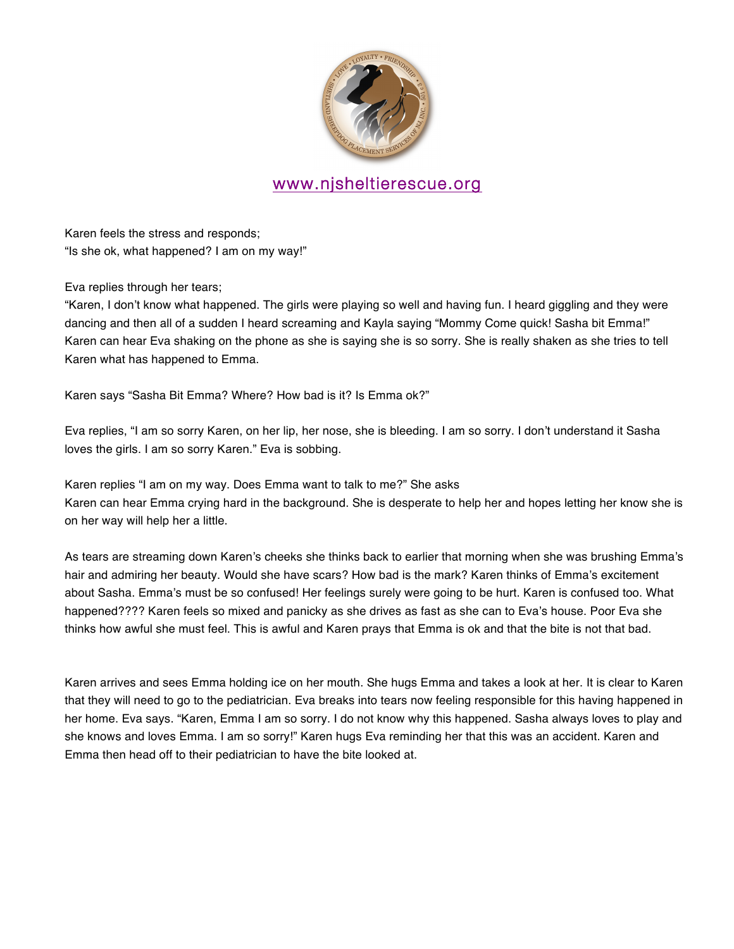

Karen feels the stress and responds; "Is she ok, what happened? I am on my way!"

Eva replies through her tears;

"Karen, I don't know what happened. The girls were playing so well and having fun. I heard giggling and they were dancing and then all of a sudden I heard screaming and Kayla saying "Mommy Come quick! Sasha bit Emma!" Karen can hear Eva shaking on the phone as she is saying she is so sorry. She is really shaken as she tries to tell Karen what has happened to Emma.

Karen says "Sasha Bit Emma? Where? How bad is it? Is Emma ok?"

Eva replies, "I am so sorry Karen, on her lip, her nose, she is bleeding. I am so sorry. I don't understand it Sasha loves the girls. I am so sorry Karen." Eva is sobbing.

Karen replies "I am on my way. Does Emma want to talk to me?" She asks Karen can hear Emma crying hard in the background. She is desperate to help her and hopes letting her know she is on her way will help her a little.

As tears are streaming down Karen's cheeks she thinks back to earlier that morning when she was brushing Emma's hair and admiring her beauty. Would she have scars? How bad is the mark? Karen thinks of Emma's excitement about Sasha. Emma's must be so confused! Her feelings surely were going to be hurt. Karen is confused too. What happened???? Karen feels so mixed and panicky as she drives as fast as she can to Eva's house. Poor Eva she thinks how awful she must feel. This is awful and Karen prays that Emma is ok and that the bite is not that bad.

Karen arrives and sees Emma holding ice on her mouth. She hugs Emma and takes a look at her. It is clear to Karen that they will need to go to the pediatrician. Eva breaks into tears now feeling responsible for this having happened in her home. Eva says. "Karen, Emma I am so sorry. I do not know why this happened. Sasha always loves to play and she knows and loves Emma. I am so sorry!" Karen hugs Eva reminding her that this was an accident. Karen and Emma then head off to their pediatrician to have the bite looked at.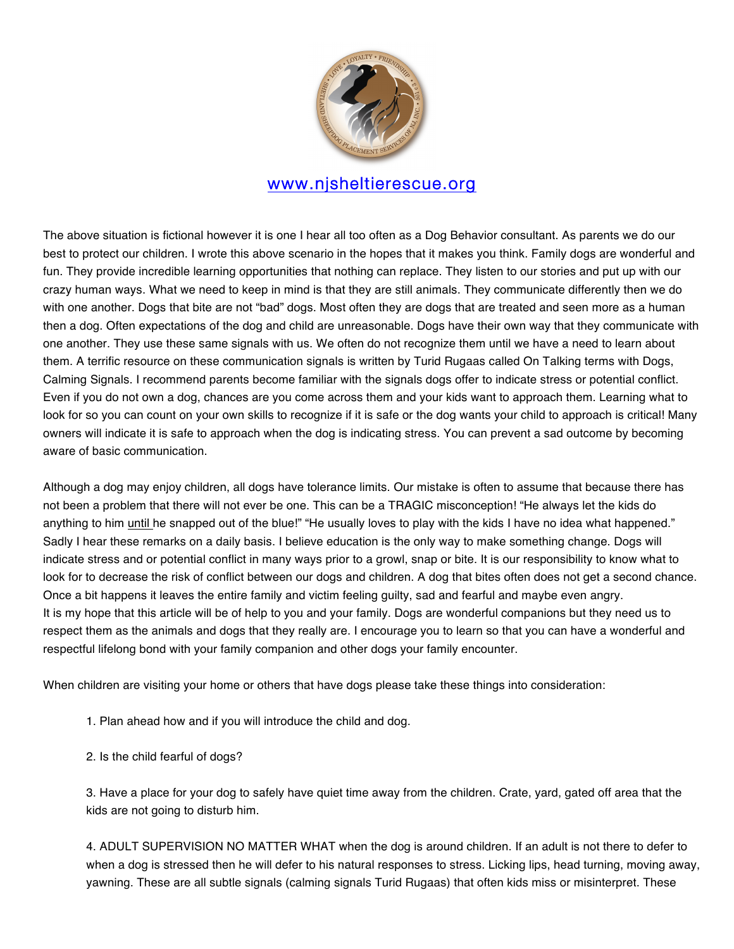

The above situation is fictional however it is one I hear all too often as a Dog Behavior consultant. As parents we do our best to protect our children. I wrote this above scenario in the hopes that it makes you think. Family dogs are wonderful and fun. They provide incredible learning opportunities that nothing can replace. They listen to our stories and put up with our crazy human ways. What we need to keep in mind is that they are still animals. They communicate differently then we do with one another. Dogs that bite are not "bad" dogs. Most often they are dogs that are treated and seen more as a human then a dog. Often expectations of the dog and child are unreasonable. Dogs have their own way that they communicate with one another. They use these same signals with us. We often do not recognize them until we have a need to learn about them. A terrific resource on these communication signals is written by Turid Rugaas called On Talking terms with Dogs, Calming Signals. I recommend parents become familiar with the signals dogs offer to indicate stress or potential conflict. Even if you do not own a dog, chances are you come across them and your kids want to approach them. Learning what to look for so you can count on your own skills to recognize if it is safe or the dog wants your child to approach is critical! Many owners will indicate it is safe to approach when the dog is indicating stress. You can prevent a sad outcome by becoming aware of basic communication.

Although a dog may enjoy children, all dogs have tolerance limits. Our mistake is often to assume that because there has not been a problem that there will not ever be one. This can be a TRAGIC misconception! "He always let the kids do anything to him until he snapped out of the blue!" "He usually loves to play with the kids I have no idea what happened." Sadly I hear these remarks on a daily basis. I believe education is the only way to make something change. Dogs will indicate stress and or potential conflict in many ways prior to a growl, snap or bite. It is our responsibility to know what to look for to decrease the risk of conflict between our dogs and children. A dog that bites often does not get a second chance. Once a bit happens it leaves the entire family and victim feeling guilty, sad and fearful and maybe even angry. It is my hope that this article will be of help to you and your family. Dogs are wonderful companions but they need us to respect them as the animals and dogs that they really are. I encourage you to learn so that you can have a wonderful and respectful lifelong bond with your family companion and other dogs your family encounter.

When children are visiting your home or others that have dogs please take these things into consideration:

- 1. Plan ahead how and if you will introduce the child and dog.
- 2. Is the child fearful of dogs?

3. Have a place for your dog to safely have quiet time away from the children. Crate, yard, gated off area that the kids are not going to disturb him.

4. ADULT SUPERVISION NO MATTER WHAT when the dog is around children. If an adult is not there to defer to when a dog is stressed then he will defer to his natural responses to stress. Licking lips, head turning, moving away, yawning. These are all subtle signals (calming signals Turid Rugaas) that often kids miss or misinterpret. These